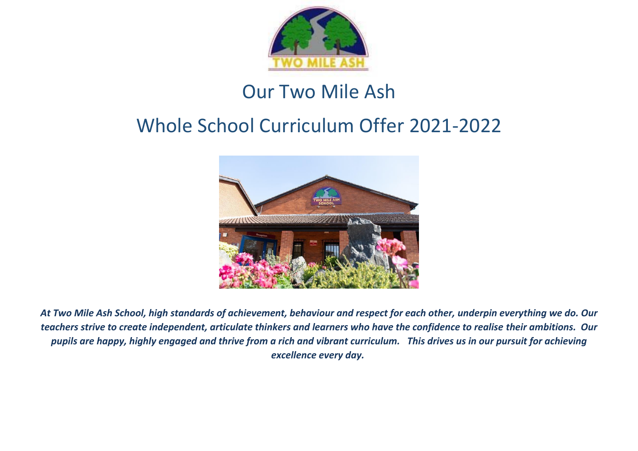

# Our Two Mile Ash

# Whole School Curriculum Offer 2021-2022



*At Two Mile Ash School, high standards of achievement, behaviour and respect for each other, underpin everything we do. Our teachers strive to create independent, articulate thinkers and learners who have the confidence to realise their ambitions. Our pupils are happy, highly engaged and thrive from a rich and vibrant curriculum. This drives us in our pursuit for achieving excellence every day.*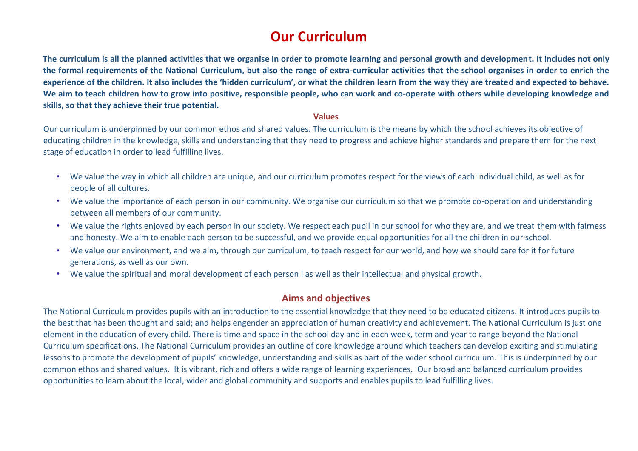## **Our Curriculum**

**The curriculum is all the planned activities that we organise in order to promote learning and personal growth and development. It includes not only the formal requirements of the National Curriculum, but also the range of extra-curricular activities that the school organises in order to enrich the experience of the children. It also includes the 'hidden curriculum', or what the children learn from the way they are treated and expected to behave. We aim to teach children how to grow into positive, responsible people, who can work and co-operate with others while developing knowledge and skills, so that they achieve their true potential.** 

#### **Values**

Our curriculum is underpinned by our common ethos and shared values. The curriculum is the means by which the school achieves its objective of educating children in the knowledge, skills and understanding that they need to progress and achieve higher standards and prepare them for the next stage of education in order to lead fulfilling lives.

- We value the way in which all children are unique, and our curriculum promotes respect for the views of each individual child, as well as for people of all cultures.
- We value the importance of each person in our community. We organise our curriculum so that we promote co-operation and understanding between all members of our community.
- We value the rights enjoyed by each person in our society. We respect each pupil in our school for who they are, and we treat them with fairness and honesty. We aim to enable each person to be successful, and we provide equal opportunities for all the children in our school.
- We value our environment, and we aim, through our curriculum, to teach respect for our world, and how we should care for it for future generations, as well as our own.
- We value the spiritual and moral development of each person l as well as their intellectual and physical growth.

#### **Aims and objectives**

The National Curriculum provides pupils with an introduction to the essential knowledge that they need to be educated citizens. It introduces pupils to the best that has been thought and said; and helps engender an appreciation of human creativity and achievement. The National Curriculum is just one element in the education of every child. There is time and space in the school day and in each week, term and year to range beyond the National Curriculum specifications. The National Curriculum provides an outline of core knowledge around which teachers can develop exciting and stimulating lessons to promote the development of pupils' knowledge, understanding and skills as part of the wider school curriculum. This is underpinned by our common ethos and shared values. It is vibrant, rich and offers a wide range of learning experiences. Our broad and balanced curriculum provides opportunities to learn about the local, wider and global community and supports and enables pupils to lead fulfilling lives.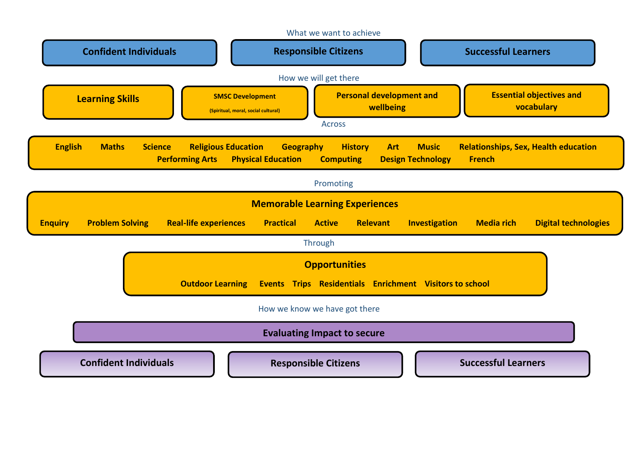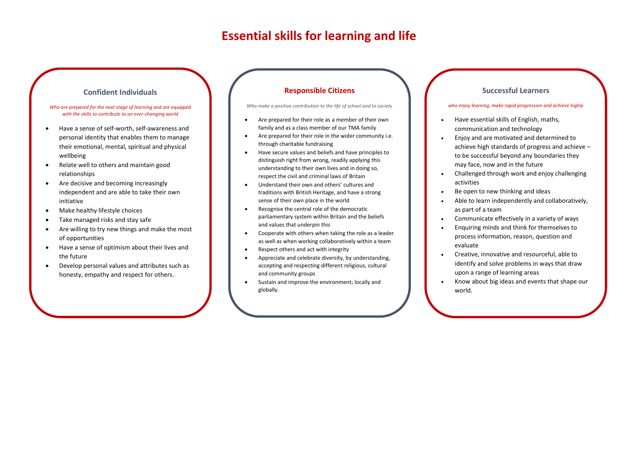### **Essential skills for learning and life**

#### **Confident Individuals**

#### *Who are prepared for the next stage of learning and are equipped with the skills to contribute to an ever-changing world*

- Have a sense of self-worth, self-awareness and personal identity that enables them to manage their emotional, mental, spiritual and physical wellbeing
- Relate well to others and maintain good relationships
- Are decisive and becoming increasingly independent and are able to take their own initiative
- Make healthy lifestyle choices

 $\overline{\phantom{a}}$ 

- Take managed risks and stay safe
- Are willing to try new things and make the most of opportunities
- Have a sense of optimism about their lives and the future
- Develop personal values and attributes such as honesty, empathy and respect for others.

#### **Responsible Citizens**

#### *Who make a positive contribution to the life of school and to society*

- Are prepared for their role as a member of their own family and as a class member of our TMA family
- Are prepared for their role in the wider community i.e. through charitable fundraising
- Have secure values and beliefs and have principles to distinguish right from wrong, readily applying this understanding to their own lives and in doing so, respect the civil and criminal laws of Britain
- Understand their own and others' cultures and traditions with British Heritage, and have a strong sense of their own place in the world
- Recognise the central role of the democratic parliamentary system within Britain and the beliefs and values that underpin this
- Cooperate with others when taking the role as a leader as well as when working collaboratively within a team
- Respect others and act with integrity
- Appreciate and celebrate diversity, by understanding, accepting and respecting different religious, cultural and community groups
- Sustain and improve the environment; locally and globally.

#### **Successful Learners**

#### *who enjoy learning, make rapid progression and achieve highly*

- Have essential skills of English, maths, communication and technology
- Enjoy and are motivated and determined to achieve high standards of progress and achieve – to be successful beyond any boundaries they may face, now and in the future
- Challenged through work and enjoy challenging activities
- Be open to new thinking and ideas
- Able to learn independently and collaboratively, as part of a team
- Communicate effectively in a variety of ways
- Enquiring minds and think for themselves to process information, reason, question and evaluate
- Creative, innovative and resourceful, able to identify and solve problems in ways that draw upon a range of learning areas
- Know about big ideas and events that shape our world.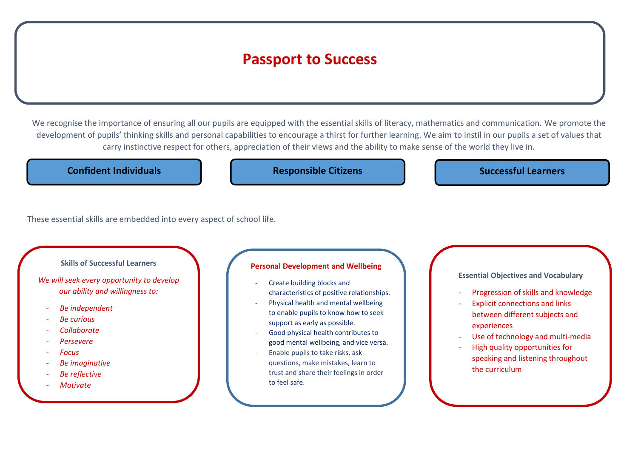## **Passport to Success**

We recognise the importance of ensuring all our pupils are equipped with the essential skills of literacy, mathematics and communication. We promote the development of pupils' thinking skills and personal capabilities to encourage a thirst for further learning. We aim to instil in our pupils a set of values that carry instinctive respect for others, appreciation of their views and the ability to make sense of the world they live in.

**Confident Individuals Confident Individuals Confident Individuals Confident Individuals Confident Individuals** 

These essential skills are embedded into every aspect of school life.

**Skills of Successful Learners** 

*We will seek every opportunity to develop our ability and willingness to:* 

- *Be independent*
- *Be curious*
- *Collaborate*
- *Persevere*
- *Focus*

l

- *Be imaginative*
- *Be reflective*
- *Motivate*

#### **Personal Development and Wellbeing**

- Create building blocks and characteristics of positive relationships.
- Physical health and mental wellbeing to enable pupils to know how to seek support as early as possible.
- Good physical health contributes to good mental wellbeing, and vice versa.
- Enable pupils to take risks, ask questions, make mistakes, learn to trust and share their feelings in order to feel safe.

**Essential Objectives and Vocabulary** 

- Progression of skills and knowledge
- Explicit connections and links between different subjects and experiences
- Use of technology and multi-media
- High quality opportunities for speaking and listening throughout the curriculum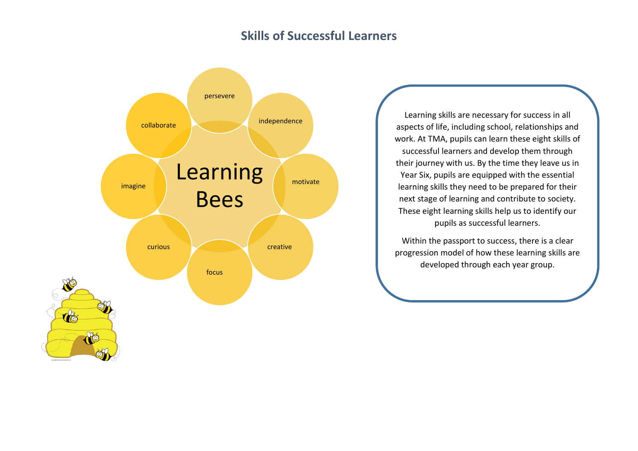## **Skills of Successful Learners**



Learning skills are necessary for success in all aspects of life, including school, relationships and work. At TMA, pupils can learn these eight skills of successful learners and develop them through their journey with us. By the time they leave us in Year Six, pupils are equipped with the essential learning skills they need to be prepared for their next stage of learning and contribute to society. These eight learning skills help us to identify our pupils as successful learners.

Within the passport to success, there is a clear progression model of how these learning skills are developed through each year group.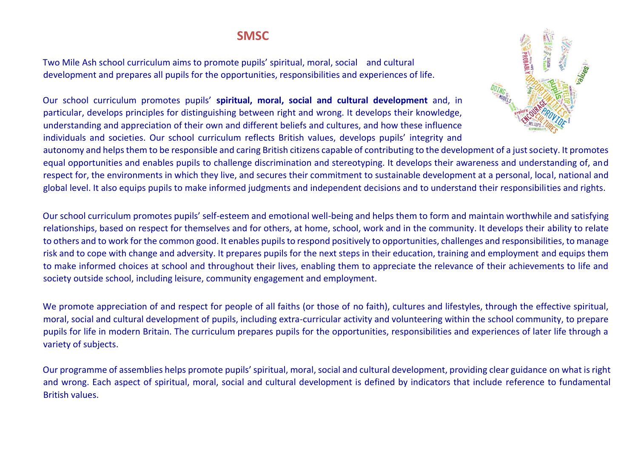## **SMSC**

Two Mile Ash school curriculum aims to promote pupils' spiritual, moral, social and cultural development and prepares all pupils for the opportunities, responsibilities and experiences of life.

Our school curriculum promotes pupils' **spiritual, moral, social and cultural development** and, in particular, develops principles for distinguishing between right and wrong. It develops their knowledge, understanding and appreciation of their own and different beliefs and cultures, and how these influence individuals and societies. Our school curriculum reflects British values, develops pupils' integrity and



autonomy and helps them to be responsible and caring British citizens capable of contributing to the development of a just society. It promotes equal opportunities and enables pupils to challenge discrimination and stereotyping. It develops their awareness and understanding of, and respect for, the environments in which they live, and secures their commitment to sustainable development at a personal, local, national and global level. It also equips pupils to make informed judgments and independent decisions and to understand their responsibilities and rights.

Our school curriculum promotes pupils' self-esteem and emotional well-being and helps them to form and maintain worthwhile and satisfying relationships, based on respect for themselves and for others, at home, school, work and in the community. It develops their ability to relate to others and to work for the common good. It enables pupils to respond positively to opportunities, challenges and responsibilities, to manage risk and to cope with change and adversity. It prepares pupils for the next steps in their education, training and employment and equips them to make informed choices at school and throughout their lives, enabling them to appreciate the relevance of their achievements to life and society outside school, including leisure, community engagement and employment.

We promote appreciation of and respect for people of all faiths (or those of no faith), cultures and lifestyles, through the effective spiritual, moral, social and cultural development of pupils, including extra-curricular activity and volunteering within the school community, to prepare pupils for life in modern Britain. The curriculum prepares pupils for the opportunities, responsibilities and experiences of later life through a variety of subjects.

Our programme of assemblies helps promote pupils' spiritual, moral, social and cultural development, providing clear guidance on what is right and wrong. Each aspect of spiritual, moral, social and cultural development is defined by indicators that include reference to fundamental British values.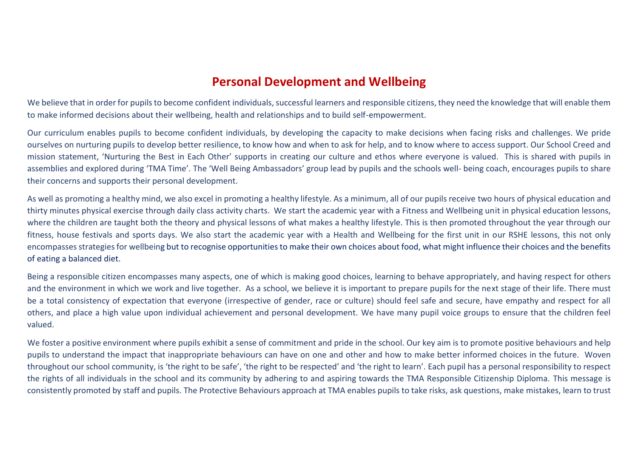## **Personal Development and Wellbeing**

We believe that in order for pupils to become confident individuals, successful learners and responsible citizens, they need the knowledge that will enable them to make informed decisions about their wellbeing, health and relationships and to build self-empowerment.

Our curriculum enables pupils to become confident individuals, by developing the capacity to make decisions when facing risks and challenges. We pride ourselves on nurturing pupils to develop better resilience, to know how and when to ask for help, and to know where to access support. Our School Creed and mission statement, 'Nurturing the Best in Each Other' supports in creating our culture and ethos where everyone is valued. This is shared with pupils in assemblies and explored during 'TMA Time'. The 'Well Being Ambassadors' group lead by pupils and the schools well- being coach, encourages pupils to share their concerns and supports their personal development.

As well as promoting a healthy mind, we also excel in promoting a healthy lifestyle. As a minimum, all of our pupils receive two hours of physical education and thirty minutes physical exercise through daily class activity charts. We start the academic year with a Fitness and Wellbeing unit in physical education lessons, where the children are taught both the theory and physical lessons of what makes a healthy lifestyle. This is then promoted throughout the year through our fitness, house festivals and sports days. We also start the academic year with a Health and Wellbeing for the first unit in our RSHE lessons, this not only encompasses strategies for wellbeing but to recognise opportunities to make their own choices about food, what might influence their choices and the benefits of eating a balanced diet.

Being a responsible citizen encompasses many aspects, one of which is making good choices, learning to behave appropriately, and having respect for others and the environment in which we work and live together. As a school, we believe it is important to prepare pupils for the next stage of their life. There must be a total consistency of expectation that everyone (irrespective of gender, race or culture) should feel safe and secure, have empathy and respect for all others, and place a high value upon individual achievement and personal development. We have many pupil voice groups to ensure that the children feel valued.

We foster a positive environment where pupils exhibit a sense of commitment and pride in the school. Our key aim is to promote positive behaviours and help pupils to understand the impact that inappropriate behaviours can have on one and other and how to make better informed choices in the future. Woven throughout our school community, is 'the right to be safe', 'the right to be respected' and 'the right to learn'. Each pupil has a personal responsibility to respect the rights of all individuals in the school and its community by adhering to and aspiring towards the TMA Responsible Citizenship Diploma. This message is consistently promoted by staff and pupils. The Protective Behaviours approach at TMA enables pupils to take risks, ask questions, make mistakes, learn to trust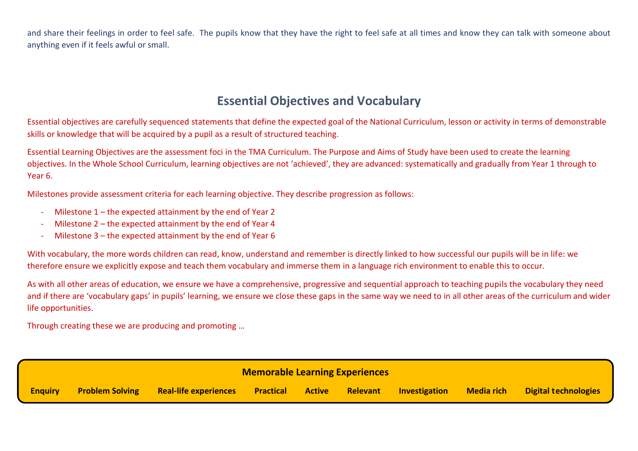and share their feelings in order to feel safe. The pupils know that they have the right to feel safe at all times and know they can talk with someone about anything even if it feels awful or small.

## **Essential Objectives and Vocabulary**

Essential objectives are carefully sequenced statements that define the expected goal of the National Curriculum, lesson or activity in terms of demonstrable skills or knowledge that will be acquired by a pupil as a result of structured teaching.

Essential Learning Objectives are the assessment foci in the TMA Curriculum. The Purpose and Aims of Study have been used to create the learning objectives. In the Whole School Curriculum, learning objectives are not 'achieved', they are advanced: systematically and gradually from Year 1 through to Year 6.

Milestones provide assessment criteria for each learning objective. They describe progression as follows:

- Milestone  $1$  the expected attainment by the end of Year 2
- Milestone  $2$  the expected attainment by the end of Year 4
- Milestone  $3$  the expected attainment by the end of Year 6

With vocabulary, the more words children can read, know, understand and remember is directly linked to how successful our pupils will be in life: we therefore ensure we explicitly expose and teach them vocabulary and immerse them in a language rich environment to enable this to occur.

As with all other areas of education, we ensure we have a comprehensive, progressive and sequential approach to teaching pupils the vocabulary they need and if there are 'vocabulary gaps' in pupils' learning, we ensure we close these gaps in the same way we need to in all other areas of the curriculum and wider life opportunities.

Through creating these we are producing and promoting …

| <b>Memorable Learning Experiences</b> |                        |                              |                  |               |          |                      |                   |                             |  |
|---------------------------------------|------------------------|------------------------------|------------------|---------------|----------|----------------------|-------------------|-----------------------------|--|
| <b>Enguiry</b>                        | <b>Problem Solving</b> | <b>Real-life experiences</b> | <b>Practical</b> | <b>Active</b> | Relevant | <b>Investigation</b> | <b>Media rich</b> | <b>Digital technologies</b> |  |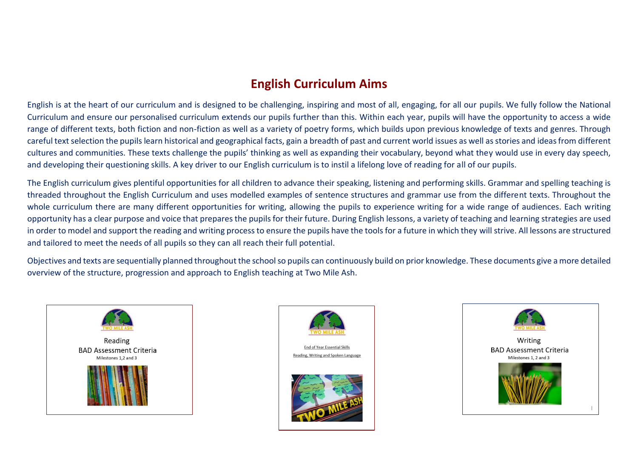## **English Curriculum Aims**

English is at the heart of our curriculum and is designed to be challenging, inspiring and most of all, engaging, for all our pupils. We fully follow the National Curriculum and ensure our personalised curriculum extends our pupils further than this. Within each year, pupils will have the opportunity to access a wide range of different texts, both fiction and non-fiction as well as a variety of poetry forms, which builds upon previous knowledge of texts and genres. Through careful text selection the pupils learn historical and geographical facts, gain a breadth of past and current world issues as well as stories and ideas from different cultures and communities. These texts challenge the pupils' thinking as well as expanding their vocabulary, beyond what they would use in every day speech, and developing their questioning skills. A key driver to our English curriculum is to instil a lifelong love of reading for all of our pupils.

The English curriculum gives plentiful opportunities for all children to advance their speaking, listening and performing skills. Grammar and spelling teaching is threaded throughout the English Curriculum and uses modelled examples of sentence structures and grammar use from the different texts. Throughout the whole curriculum there are many different opportunities for writing, allowing the pupils to experience writing for a wide range of audiences. Each writing opportunity has a clear purpose and voice that prepares the pupils for their future. During English lessons, a variety of teaching and learning strategies are used in order to model and support the reading and writing process to ensure the pupils have the tools for a future in which they will strive. All lessons are structured and tailored to meet the needs of all pupils so they can all reach their full potential.

Objectives and texts are sequentially planned throughout the school so pupils can continuously build on prior knowledge. These documents give a more detailed overview of the structure, progression and approach to English teaching at Two Mile Ash.





**End of Year Essential Skills** Reading, Writing and Spoken Language



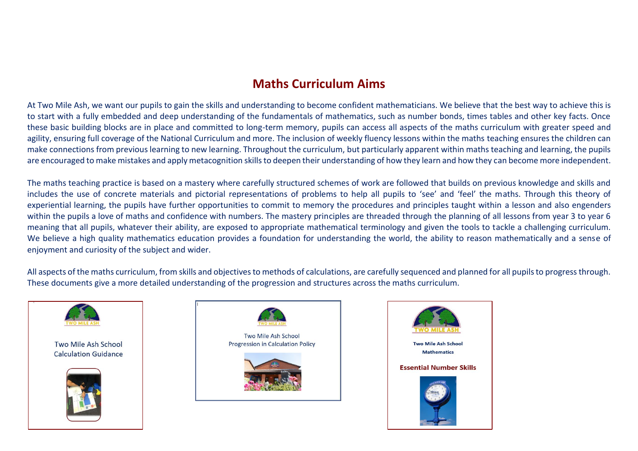## **Maths Curriculum Aims**

At Two Mile Ash, we want our pupils to gain the skills and understanding to become confident mathematicians. We believe that the best way to achieve this is to start with a fully embedded and deep understanding of the fundamentals of mathematics, such as number bonds, times tables and other key facts. Once these basic building blocks are in place and committed to long-term memory, pupils can access all aspects of the maths curriculum with greater speed and agility, ensuring full coverage of the National Curriculum and more. The inclusion of weekly fluency lessons within the maths teaching ensures the children can make connections from previous learning to new learning. Throughout the curriculum, but particularly apparent within maths teaching and learning, the pupils are encouraged to make mistakes and apply metacognition skills to deepen their understanding of how they learn and how they can become more independent.

The maths teaching practice is based on a mastery where carefully structured schemes of work are followed that builds on previous knowledge and skills and includes the use of concrete materials and pictorial representations of problems to help all pupils to 'see' and 'feel' the maths. Through this theory of experiential learning, the pupils have further opportunities to commit to memory the procedures and principles taught within a lesson and also engenders within the pupils a love of maths and confidence with numbers. The mastery principles are threaded through the planning of all lessons from year 3 to year 6 meaning that all pupils, whatever their ability, are exposed to appropriate mathematical terminology and given the tools to tackle a challenging curriculum. We believe a high quality mathematics education provides a foundation for understanding the world, the ability to reason mathematically and a sense of enjoyment and curiosity of the subject and wider.

All aspects of the maths curriculum, from skills and objectives to methods of calculations, are carefully sequenced and planned for all pupils to progress through. These documents give a more detailed understanding of the progression and structures across the maths curriculum.



 $\overline{\phantom{a}}$ 

Two Mile Ash School **Calculation Guidance** 





Two Mile Ash School **Progression in Calculation Policy** 



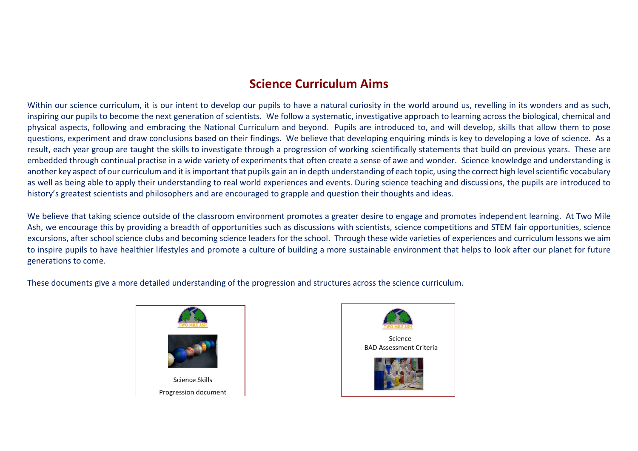## **Science Curriculum Aims**

Within our science curriculum, it is our intent to develop our pupils to have a natural curiosity in the world around us, revelling in its wonders and as such, inspiring our pupils to become the next generation of scientists. We follow a systematic, investigative approach to learning across the biological, chemical and physical aspects, following and embracing the National Curriculum and beyond. Pupils are introduced to, and will develop, skills that allow them to pose questions, experiment and draw conclusions based on their findings. We believe that developing enquiring minds is key to developing a love of science. As a result, each year group are taught the skills to investigate through a progression of working scientifically statements that build on previous years. These are embedded through continual practise in a wide variety of experiments that often create a sense of awe and wonder. Science knowledge and understanding is another key aspect of our curriculum and it is important that pupils gain an in depth understanding of each topic, using the correct high level scientific vocabulary as well as being able to apply their understanding to real world experiences and events. During science teaching and discussions, the pupils are introduced to history's greatest scientists and philosophers and are encouraged to grapple and question their thoughts and ideas.

We believe that taking science outside of the classroom environment promotes a greater desire to engage and promotes independent learning. At Two Mile Ash, we encourage this by providing a breadth of opportunities such as discussions with scientists, science competitions and STEM fair opportunities, science excursions, after school science clubs and becoming science leaders for the school. Through these wide varieties of experiences and curriculum lessons we aim to inspire pupils to have healthier lifestyles and promote a culture of building a more sustainable environment that helps to look after our planet for future generations to come.

These documents give a more detailed understanding of the progression and structures across the science curriculum.



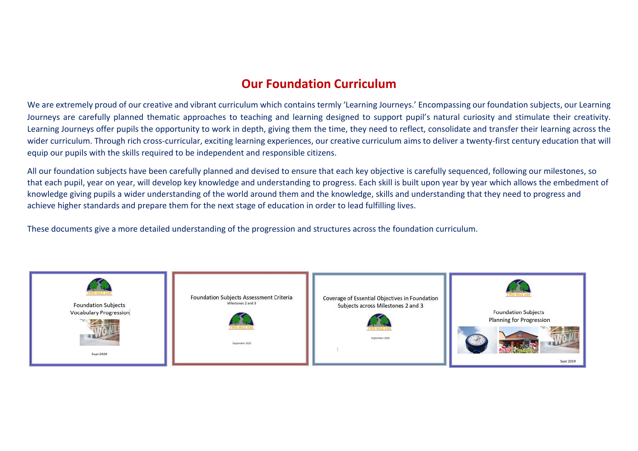## **Our Foundation Curriculum**

We are extremely proud of our creative and vibrant curriculum which contains termly 'Learning Journeys.' Encompassing our foundation subjects, our Learning Journeys are carefully planned thematic approaches to teaching and learning designed to support pupil's natural curiosity and stimulate their creativity. Learning Journeys offer pupils the opportunity to work in depth, giving them the time, they need to reflect, consolidate and transfer their learning across the wider curriculum. Through rich cross-curricular, exciting learning experiences, our creative curriculum aims to deliver a twenty-first century education that will equip our pupils with the skills required to be independent and responsible citizens.

All our foundation subjects have been carefully planned and devised to ensure that each key objective is carefully sequenced, following our milestones, so that each pupil, year on year, will develop key knowledge and understanding to progress. Each skill is built upon year by year which allows the embedment of knowledge giving pupils a wider understanding of the world around them and the knowledge, skills and understanding that they need to progress and achieve higher standards and prepare them for the next stage of education in order to lead fulfilling lives.

These documents give a more detailed understanding of the progression and structures across the foundation curriculum.

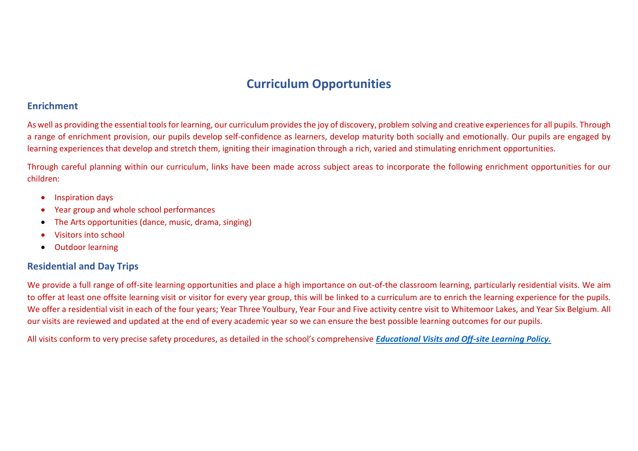## **Curriculum Opportunities**

#### **Enrichment**

As well as providing the essential tools for learning, our curriculum provides the joy of discovery, problem solving and creative experiences for all pupils. Through a range of enrichment provision, our pupils develop self-confidence as learners, develop maturity both socially and emotionally. Our pupils are engaged by learning experiences that develop and stretch them, igniting their imagination through a rich, varied and stimulating enrichment opportunities.

Through careful planning within our curriculum, links have been made across subject areas to incorporate the following enrichment opportunities for our children:

- **•** Inspiration days
- Year group and whole school performances
- The Arts opportunities (dance, music, drama, singing)
- Visitors into school
- Outdoor learning

### **Residential and Day Trips**

We provide a full range of off-site learning opportunities and place a high importance on out-of-the classroom learning, particularly residential visits. We aim to offer at least one offsite learning visit or visitor for every year group, this will be linked to a curriculum are to enrich the learning experience for the pupils. We offer a residential visit in each of the four years; Year Three Youlbury, Year Four and Five activity centre visit to Whitemoor Lakes, and Year Six Belgium. All our visits are reviewed and updated at the end of every academic year so we can ensure the best possible learning outcomes for our pupils.

All visits conform to very precise safety procedures, as detailed in the school's comprehensive *[Educational Visits and Off-site Learning Policy.](https://iftltrust.sharepoint.com/Two%20Mile%20Ash%20School/Forms/AllItems.aspx?sortField=Editor&isAscending=true&viewid=be8986f2%2Dec77%2D4d4f%2Daacf%2D62d8c1cc3a28&id=%2FTwo%20Mile%20Ash%20School%2FTeachers%2F2020%2D21%2FPolicies%202020%2D21)*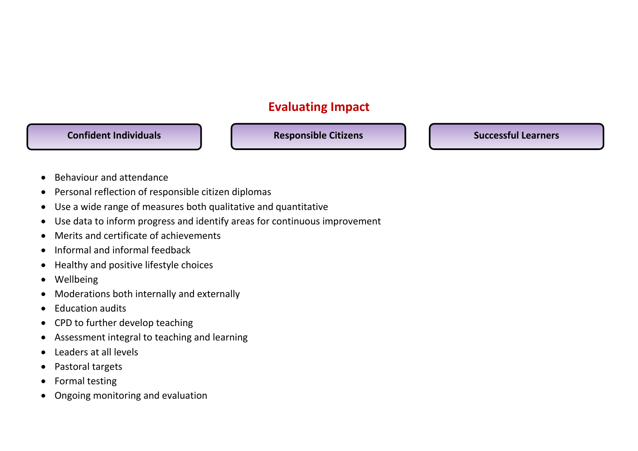## **Evaluating Impact**

**Confident Individuals Confident Individuals** Responsible Citizens **Responsible Citizens Responsible Citizens** 

- Behaviour and attendance
- Personal reflection of responsible citizen diplomas
- Use a wide range of measures both qualitative and quantitative
- Use data to inform progress and identify areas for continuous improvement
- Merits and certificate of achievements
- Informal and informal feedback
- Healthy and positive lifestyle choices
- Wellbeing
- Moderations both internally and externally
- Education audits
- CPD to further develop teaching
- Assessment integral to teaching and learning
- Leaders at all levels
- Pastoral targets
- Formal testing
- Ongoing monitoring and evaluation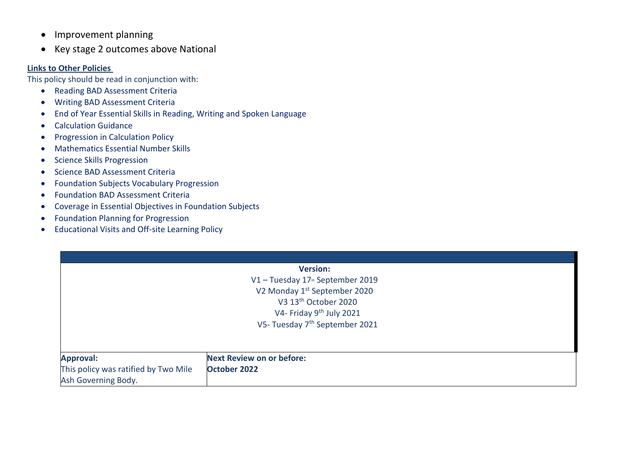- Improvement planning
- Key stage 2 outcomes above National

#### **Links to Other Policies**

This policy should be read in conjunction with:

- Reading BAD Assessment Criteria
- Writing BAD Assessment Criteria
- End of Year Essential Skills in Reading, Writing and Spoken Language
- Calculation Guidance
- Progression in Calculation Policy
- Mathematics Essential Number Skills
- Science Skills Progression
- Science BAD Assessment Criteria
- Foundation Subjects Vocabulary Progression
- Foundation BAD Assessment Criteria
- Coverage in Essential Objectives in Foundation Subjects
- Foundation Planning for Progression
- Educational Visits and Off-site Learning Policy

| <b>Version:</b>                            |  |  |  |  |  |
|--------------------------------------------|--|--|--|--|--|
| V1 - Tuesday 17th September 2019           |  |  |  |  |  |
| V2 Monday 1st September 2020               |  |  |  |  |  |
| V3 13 <sup>th</sup> October 2020           |  |  |  |  |  |
| V4- Friday 9 <sup>th</sup> July 2021       |  |  |  |  |  |
| V5- Tuesday 7 <sup>th</sup> September 2021 |  |  |  |  |  |

| <b>Approval:</b>                     | <b>Next Review on or before:</b> |
|--------------------------------------|----------------------------------|
| This policy was ratified by Two Mile | October 2022                     |
| Ash Governing Body.                  |                                  |